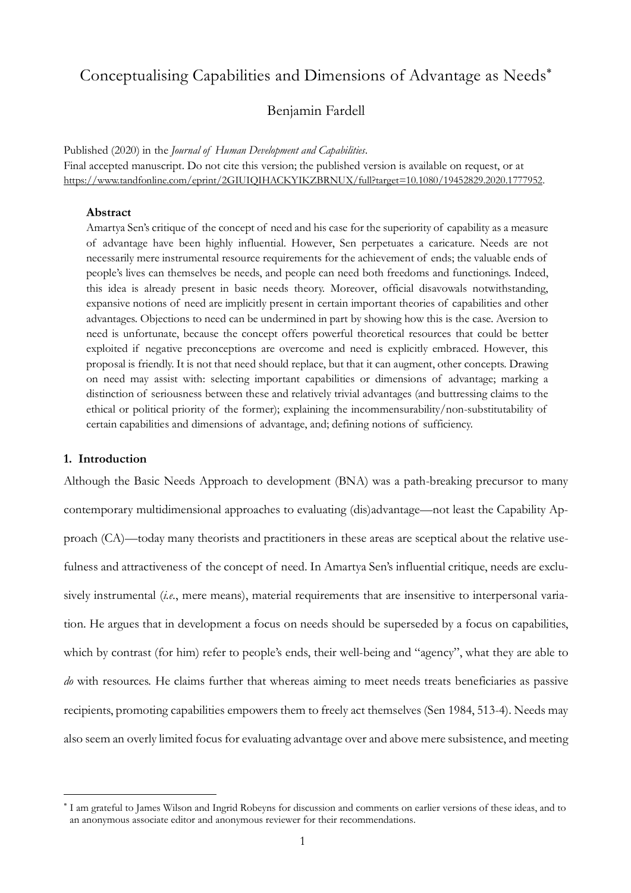# Conceptualising Capabilities and Dimensions of Advantage as Needs\*

# Benjamin Fardell

Published (2020) in the *Journal of Human Development and Capabilities*. Final accepted manuscript. Do not cite this version; the published version is available on request, or at https://www.tandfonline.com/eprint/2GIUIQIHACKYIKZBRNUX/full?target=10.1080/19452829.2020.1777952.

#### **Abstract**

Amartya Sen's critique of the concept of need and his case for the superiority of capability as a measure of advantage have been highly influential. However, Sen perpetuates a caricature. Needs are not necessarily mere instrumental resource requirements for the achievement of ends; the valuable ends of people's lives can themselves be needs, and people can need both freedoms and functionings. Indeed, this idea is already present in basic needs theory. Moreover, official disavowals notwithstanding, expansive notions of need are implicitly present in certain important theories of capabilities and other advantages. Objections to need can be undermined in part by showing how this is the case. Aversion to need is unfortunate, because the concept offers powerful theoretical resources that could be better exploited if negative preconceptions are overcome and need is explicitly embraced. However, this proposal is friendly. It is not that need should replace, but that it can augment, other concepts. Drawing on need may assist with: selecting important capabilities or dimensions of advantage; marking a distinction of seriousness between these and relatively trivial advantages (and buttressing claims to the ethical or political priority of the former); explaining the incommensurability/non-substitutability of certain capabilities and dimensions of advantage, and; defining notions of sufficiency.

## **1. Introduction**

Although the Basic Needs Approach to development (BNA) was a path-breaking precursor to many contemporary multidimensional approaches to evaluating (dis)advantage—not least the Capability Approach (CA)—today many theorists and practitioners in these areas are sceptical about the relative usefulness and attractiveness of the concept of need. In Amartya Sen's influential critique, needs are exclusively instrumental (*i.e.*, mere means), material requirements that are insensitive to interpersonal variation. He argues that in development a focus on needs should be superseded by a focus on capabilities, which by contrast (for him) refer to people's ends, their well-being and "agency", what they are able to *do* with resources. He claims further that whereas aiming to meet needs treats beneficiaries as passive recipients, promoting capabilities empowers them to freely act themselves (Sen 1984, 513-4). Needs may also seem an overly limited focus for evaluating advantage over and above mere subsistence, and meeting

<sup>\*</sup> I am grateful to James Wilson and Ingrid Robeyns for discussion and comments on earlier versions of these ideas, and to an anonymous associate editor and anonymous reviewer for their recommendations.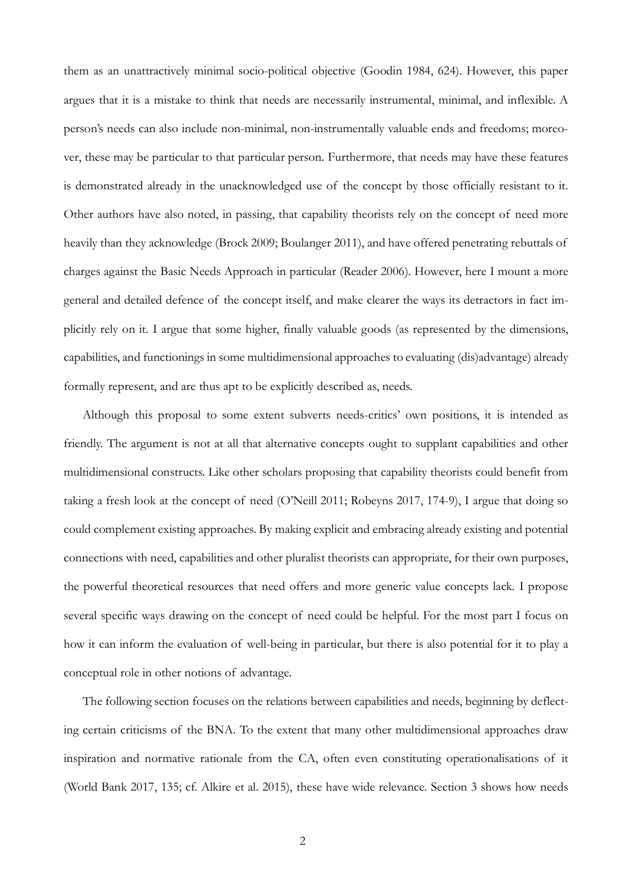them as an unattractively minimal socio-political objective (Goodin 1984, 624). However, this paper argues that it is a mistake to think that needs are necessarily instrumental, minimal, and inflexible. A person's needs can also include non-minimal, non-instrumentally valuable ends and freedoms; moreover, these may be particular to that particular person. Furthermore, that needs may have these features is demonstrated already in the unacknowledged use of the concept by those officially resistant to it. Other authors have also noted, in passing, that capability theorists rely on the concept of need more heavily than they acknowledge (Brock 2009; Boulanger 2011), and have offered penetrating rebuttals of charges against the Basic Needs Approach in particular (Reader 2006). However, here I mount a more general and detailed defence of the concept itself, and make clearer the ways its detractors in fact implicitly rely on it. I argue that some higher, finally valuable goods (as represented by the dimensions, capabilities, and functionings in some multidimensional approaches to evaluating (dis)advantage) already formally represent, and are thus apt to be explicitly described as, needs.

Although this proposal to some extent subverts needs-critics' own positions, it is intended as friendly. The argument is not at all that alternative concepts ought to supplant capabilities and other multidimensional constructs. Like other scholars proposing that capability theorists could benefit from taking a fresh look at the concept of need (O'Neill 2011; Robeyns 2017, 174-9), I argue that doing so could complement existing approaches. By making explicit and embracing already existing and potential connections with need, capabilities and other pluralist theorists can appropriate, for their own purposes, the powerful theoretical resources that need offers and more generic value concepts lack. I propose several specific ways drawing on the concept of need could be helpful. For the most part I focus on how it can inform the evaluation of well-being in particular, but there is also potential for it to play a conceptual role in other notions of advantage.

The following section focuses on the relations between capabilities and needs, beginning by deflecting certain criticisms of the BNA. To the extent that many other multidimensional approaches draw inspiration and normative rationale from the CA, often even constituting operationalisations of it (World Bank 2017, 135; cf. Alkire et al. 2015), these have wide relevance. Section 3 shows how needs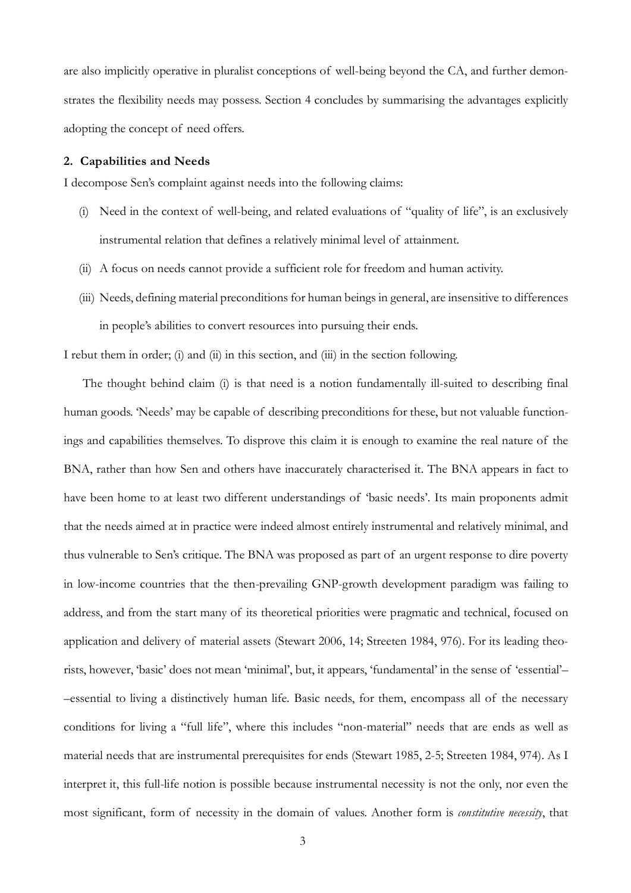are also implicitly operative in pluralist conceptions of well-being beyond the CA, and further demonstrates the flexibility needs may possess. Section 4 concludes by summarising the advantages explicitly adopting the concept of need offers.

#### **2. Capabilities and Needs**

I decompose Sen's complaint against needs into the following claims:

- (i) Need in the context of well-being, and related evaluations of "quality of life", is an exclusively instrumental relation that defines a relatively minimal level of attainment.
- (ii) A focus on needs cannot provide a sufficient role for freedom and human activity.
- (iii) Needs, defining material preconditions for human beings in general, are insensitive to differences in people's abilities to convert resources into pursuing their ends.

I rebut them in order; (i) and (ii) in this section, and (iii) in the section following.

The thought behind claim (i) is that need is a notion fundamentally ill-suited to describing final human goods. 'Needs' may be capable of describing preconditions for these, but not valuable functionings and capabilities themselves. To disprove this claim it is enough to examine the real nature of the BNA, rather than how Sen and others have inaccurately characterised it. The BNA appears in fact to have been home to at least two different understandings of 'basic needs'. Its main proponents admit that the needs aimed at in practice were indeed almost entirely instrumental and relatively minimal, and thus vulnerable to Sen's critique. The BNA was proposed as part of an urgent response to dire poverty in low-income countries that the then-prevailing GNP-growth development paradigm was failing to address, and from the start many of its theoretical priorities were pragmatic and technical, focused on application and delivery of material assets (Stewart 2006, 14; Streeten 1984, 976). For its leading theorists, however, 'basic' does not mean 'minimal', but, it appears, 'fundamental' in the sense of 'essential'– –essential to living a distinctively human life. Basic needs, for them, encompass all of the necessary conditions for living a "full life", where this includes "non-material" needs that are ends as well as material needs that are instrumental prerequisites for ends (Stewart 1985, 2-5; Streeten 1984, 974). As I interpret it, this full-life notion is possible because instrumental necessity is not the only, nor even the most significant, form of necessity in the domain of values. Another form is *constitutive necessity*, that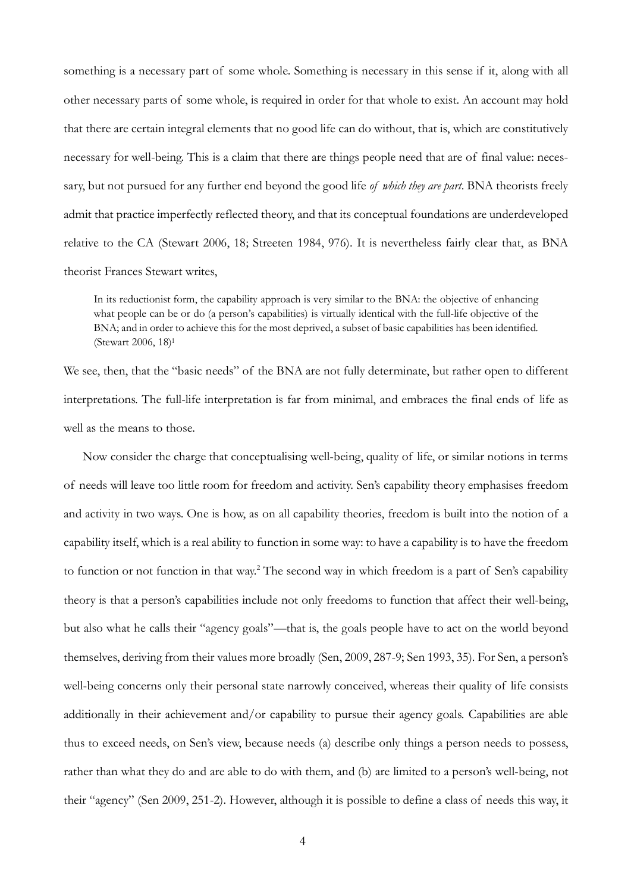something is a necessary part of some whole. Something is necessary in this sense if it, along with all other necessary parts of some whole, is required in order for that whole to exist. An account may hold that there are certain integral elements that no good life can do without, that is, which are constitutively necessary for well-being. This is a claim that there are things people need that are of final value: necessary, but not pursued for any further end beyond the good life *of which they are part*. BNA theorists freely admit that practice imperfectly reflected theory, and that its conceptual foundations are underdeveloped relative to the CA (Stewart 2006, 18; Streeten 1984, 976). It is nevertheless fairly clear that, as BNA theorist Frances Stewart writes,

In its reductionist form, the capability approach is very similar to the BNA: the objective of enhancing what people can be or do (a person's capabilities) is virtually identical with the full-life objective of the BNA; and in order to achieve this for the most deprived, a subset of basic capabilities has been identified. (Stewart 2006, 18)1

We see, then, that the "basic needs" of the BNA are not fully determinate, but rather open to different interpretations. The full-life interpretation is far from minimal, and embraces the final ends of life as well as the means to those.

Now consider the charge that conceptualising well-being, quality of life, or similar notions in terms of needs will leave too little room for freedom and activity. Sen's capability theory emphasises freedom and activity in two ways. One is how, as on all capability theories, freedom is built into the notion of a capability itself, which is a real ability to function in some way: to have a capability is to have the freedom to function or not function in that way.<sup>2</sup> The second way in which freedom is a part of Sen's capability theory is that a person's capabilities include not only freedoms to function that affect their well-being, but also what he calls their "agency goals"—that is, the goals people have to act on the world beyond themselves, deriving from their values more broadly (Sen, 2009, 287-9; Sen 1993, 35). For Sen, a person's well-being concerns only their personal state narrowly conceived, whereas their quality of life consists additionally in their achievement and/or capability to pursue their agency goals. Capabilities are able thus to exceed needs, on Sen's view, because needs (a) describe only things a person needs to possess, rather than what they do and are able to do with them, and (b) are limited to a person's well-being, not their "agency" (Sen 2009, 251-2). However, although it is possible to define a class of needs this way, it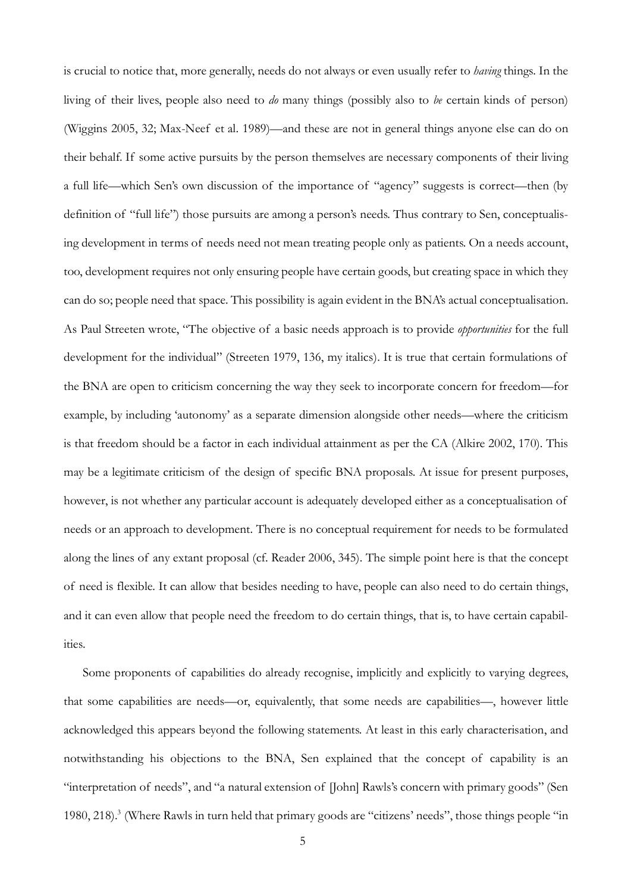is crucial to notice that, more generally, needs do not always or even usually refer to *having* things. In the living of their lives, people also need to *do* many things (possibly also to *be* certain kinds of person) (Wiggins 2005, 32; Max-Neef et al. 1989)––and these are not in general things anyone else can do on their behalf. If some active pursuits by the person themselves are necessary components of their living a full life—which Sen's own discussion of the importance of "agency" suggests is correct—then (by definition of "full life") those pursuits are among a person's needs. Thus contrary to Sen, conceptualising development in terms of needs need not mean treating people only as patients. On a needs account, too, development requires not only ensuring people have certain goods, but creating space in which they can do so; people need that space. This possibility is again evident in the BNA's actual conceptualisation. As Paul Streeten wrote, "The objective of a basic needs approach is to provide *opportunities* for the full development for the individual" (Streeten 1979, 136, my italics). It is true that certain formulations of the BNA are open to criticism concerning the way they seek to incorporate concern for freedom—for example, by including 'autonomy' as a separate dimension alongside other needs—where the criticism is that freedom should be a factor in each individual attainment as per the CA (Alkire 2002, 170). This may be a legitimate criticism of the design of specific BNA proposals. At issue for present purposes, however, is not whether any particular account is adequately developed either as a conceptualisation of needs or an approach to development. There is no conceptual requirement for needs to be formulated along the lines of any extant proposal (cf. Reader 2006, 345). The simple point here is that the concept of need is flexible. It can allow that besides needing to have, people can also need to do certain things, and it can even allow that people need the freedom to do certain things, that is, to have certain capabilities.

Some proponents of capabilities do already recognise, implicitly and explicitly to varying degrees, that some capabilities are needs—or, equivalently, that some needs are capabilities—, however little acknowledged this appears beyond the following statements. At least in this early characterisation, and notwithstanding his objections to the BNA, Sen explained that the concept of capability is an "interpretation of needs", and "a natural extension of [John] Rawls's concern with primary goods" (Sen 1980, 218).<sup>3</sup> (Where Rawls in turn held that primary goods are "citizens' needs", those things people "in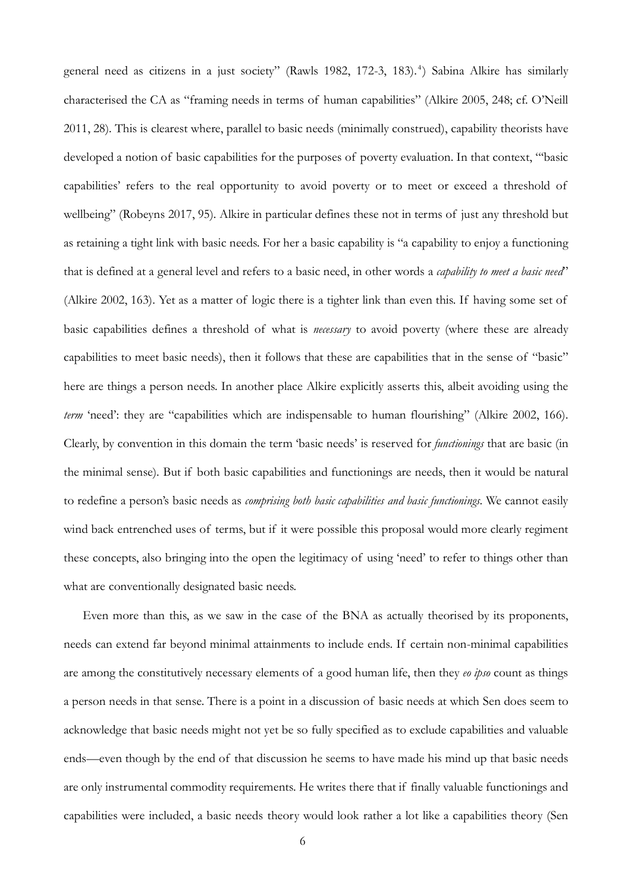general need as citizens in a just society" (Rawls 1982, 172-3, 183).<sup>4</sup>) Sabina Alkire has similarly characterised the CA as "framing needs in terms of human capabilities" (Alkire 2005, 248; cf. O'Neill 2011, 28). This is clearest where, parallel to basic needs (minimally construed), capability theorists have developed a notion of basic capabilities for the purposes of poverty evaluation. In that context, "'basic capabilities' refers to the real opportunity to avoid poverty or to meet or exceed a threshold of wellbeing" (Robeyns 2017, 95). Alkire in particular defines these not in terms of just any threshold but as retaining a tight link with basic needs. For her a basic capability is "a capability to enjoy a functioning that is defined at a general level and refers to a basic need, in other words a *capability to meet a basic need*" (Alkire 2002, 163). Yet as a matter of logic there is a tighter link than even this. If having some set of basic capabilities defines a threshold of what is *necessary* to avoid poverty (where these are already capabilities to meet basic needs), then it follows that these are capabilities that in the sense of "basic" here are things a person needs. In another place Alkire explicitly asserts this, albeit avoiding using the *term* 'need': they are "capabilities which are indispensable to human flourishing" (Alkire 2002, 166). Clearly, by convention in this domain the term 'basic needs' is reserved for *functionings* that are basic (in the minimal sense). But if both basic capabilities and functionings are needs, then it would be natural to redefine a person's basic needs as *comprising both basic capabilities and basic functionings*. We cannot easily wind back entrenched uses of terms, but if it were possible this proposal would more clearly regiment these concepts, also bringing into the open the legitimacy of using 'need' to refer to things other than what are conventionally designated basic needs.

Even more than this, as we saw in the case of the BNA as actually theorised by its proponents, needs can extend far beyond minimal attainments to include ends. If certain non-minimal capabilities are among the constitutively necessary elements of a good human life, then they *eo ipso* count as things a person needs in that sense. There is a point in a discussion of basic needs at which Sen does seem to acknowledge that basic needs might not yet be so fully specified as to exclude capabilities and valuable ends—even though by the end of that discussion he seems to have made his mind up that basic needs are only instrumental commodity requirements. He writes there that if finally valuable functionings and capabilities were included, a basic needs theory would look rather a lot like a capabilities theory (Sen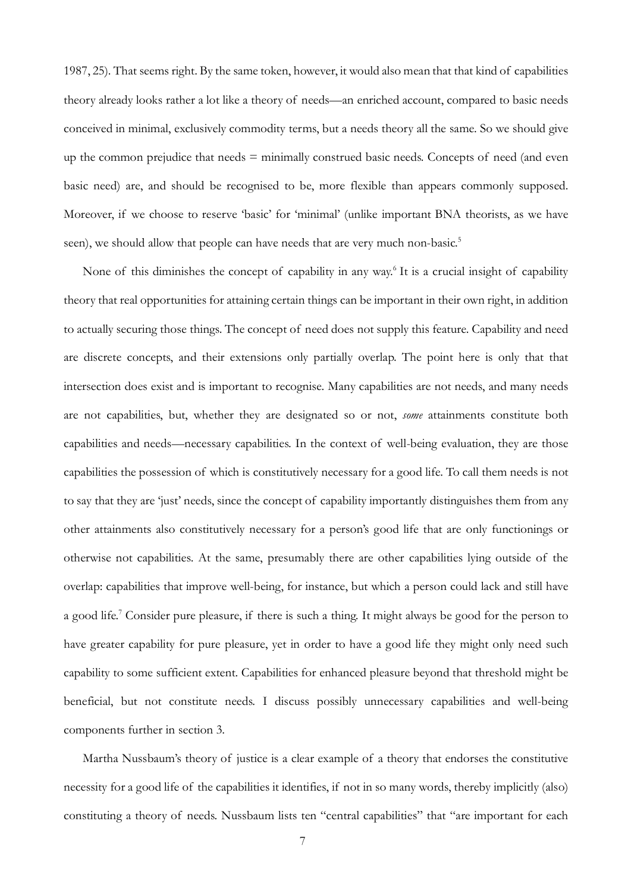1987, 25). That seems right. By the same token, however, it would also mean that that kind of capabilities theory already looks rather a lot like a theory of needs—an enriched account, compared to basic needs conceived in minimal, exclusively commodity terms, but a needs theory all the same. So we should give up the common prejudice that needs  $=$  minimally construed basic needs. Concepts of need (and even basic need) are, and should be recognised to be, more flexible than appears commonly supposed. Moreover, if we choose to reserve 'basic' for 'minimal' (unlike important BNA theorists, as we have seen), we should allow that people can have needs that are very much non-basic.<sup>5</sup>

None of this diminishes the concept of capability in any way.<sup>6</sup> It is a crucial insight of capability theory that real opportunities for attaining certain things can be important in their own right, in addition to actually securing those things. The concept of need does not supply this feature. Capability and need are discrete concepts, and their extensions only partially overlap. The point here is only that that intersection does exist and is important to recognise. Many capabilities are not needs, and many needs are not capabilities, but, whether they are designated so or not, *some* attainments constitute both capabilities and needs—necessary capabilities. In the context of well-being evaluation, they are those capabilities the possession of which is constitutively necessary for a good life. To call them needs is not to say that they are 'just' needs, since the concept of capability importantly distinguishes them from any other attainments also constitutively necessary for a person's good life that are only functionings or otherwise not capabilities. At the same, presumably there are other capabilities lying outside of the overlap: capabilities that improve well-being, for instance, but which a person could lack and still have a good life.<sup>7</sup> Consider pure pleasure, if there is such a thing. It might always be good for the person to have greater capability for pure pleasure, yet in order to have a good life they might only need such capability to some sufficient extent. Capabilities for enhanced pleasure beyond that threshold might be beneficial, but not constitute needs. I discuss possibly unnecessary capabilities and well-being components further in section 3.

Martha Nussbaum's theory of justice is a clear example of a theory that endorses the constitutive necessity for a good life of the capabilities it identifies, if not in so many words, thereby implicitly (also) constituting a theory of needs. Nussbaum lists ten "central capabilities" that "are important for each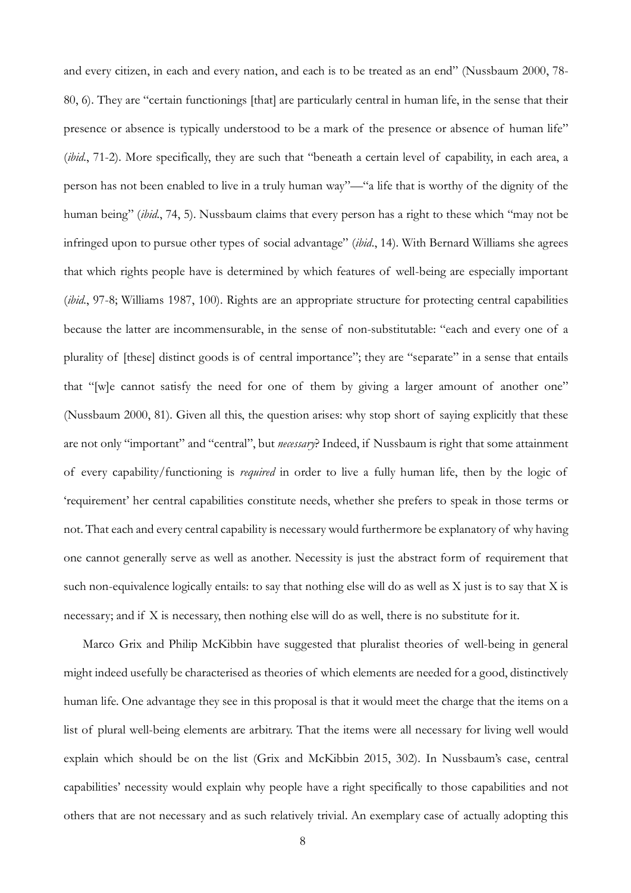and every citizen, in each and every nation, and each is to be treated as an end" (Nussbaum 2000, 78- 80, 6). They are "certain functionings [that] are particularly central in human life, in the sense that their presence or absence is typically understood to be a mark of the presence or absence of human life" (*ibid.*, 71-2). More specifically, they are such that "beneath a certain level of capability, in each area, a person has not been enabled to live in a truly human way"—"a life that is worthy of the dignity of the human being" (*ibid*., 74, 5). Nussbaum claims that every person has a right to these which "may not be infringed upon to pursue other types of social advantage" (*ibid*., 14). With Bernard Williams she agrees that which rights people have is determined by which features of well-being are especially important (*ibid.*, 97-8; Williams 1987, 100). Rights are an appropriate structure for protecting central capabilities because the latter are incommensurable, in the sense of non-substitutable: "each and every one of a plurality of [these] distinct goods is of central importance"; they are "separate" in a sense that entails that "[w]e cannot satisfy the need for one of them by giving a larger amount of another one" (Nussbaum 2000, 81). Given all this, the question arises: why stop short of saying explicitly that these are not only "important" and "central", but *necessary*? Indeed, if Nussbaum is right that some attainment of every capability/functioning is *required* in order to live a fully human life, then by the logic of 'requirement' her central capabilities constitute needs, whether she prefers to speak in those terms or not. That each and every central capability is necessary would furthermore be explanatory of why having one cannot generally serve as well as another. Necessity is just the abstract form of requirement that such non-equivalence logically entails: to say that nothing else will do as well as X just is to say that X is necessary; and if X is necessary, then nothing else will do as well, there is no substitute for it.

Marco Grix and Philip McKibbin have suggested that pluralist theories of well-being in general might indeed usefully be characterised as theories of which elements are needed for a good, distinctively human life. One advantage they see in this proposal is that it would meet the charge that the items on a list of plural well-being elements are arbitrary. That the items were all necessary for living well would explain which should be on the list (Grix and McKibbin 2015, 302). In Nussbaum's case, central capabilities' necessity would explain why people have a right specifically to those capabilities and not others that are not necessary and as such relatively trivial. An exemplary case of actually adopting this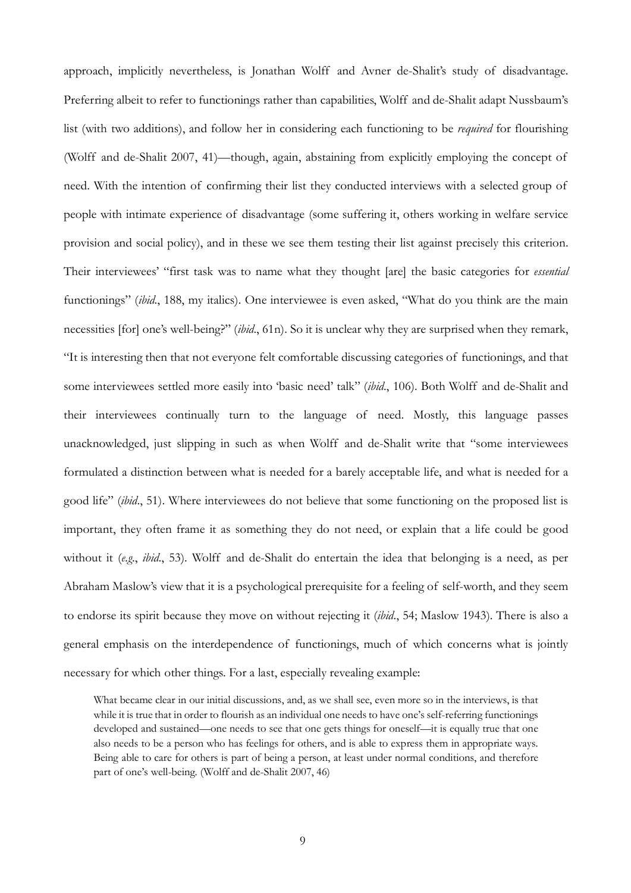approach, implicitly nevertheless, is Jonathan Wolff and Avner de-Shalit's study of disadvantage. Preferring albeit to refer to functionings rather than capabilities, Wolff and de-Shalit adapt Nussbaum's list (with two additions), and follow her in considering each functioning to be *required* for flourishing (Wolff and de-Shalit 2007, 41)—though, again, abstaining from explicitly employing the concept of need. With the intention of confirming their list they conducted interviews with a selected group of people with intimate experience of disadvantage (some suffering it, others working in welfare service provision and social policy), and in these we see them testing their list against precisely this criterion. Their interviewees' "first task was to name what they thought [are] the basic categories for *essential* functionings" (*ibid*., 188, my italics). One interviewee is even asked, "What do you think are the main necessities [for] one's well-being?" (*ibid*., 61n). So it is unclear why they are surprised when they remark, "It is interesting then that not everyone felt comfortable discussing categories of functionings, and that some interviewees settled more easily into 'basic need' talk" (*ibid*., 106). Both Wolff and de-Shalit and their interviewees continually turn to the language of need. Mostly, this language passes unacknowledged, just slipping in such as when Wolff and de-Shalit write that "some interviewees formulated a distinction between what is needed for a barely acceptable life, and what is needed for a good life" (*ibid*., 51). Where interviewees do not believe that some functioning on the proposed list is important, they often frame it as something they do not need, or explain that a life could be good without it (*e.g*., *ibid*., 53). Wolff and de-Shalit do entertain the idea that belonging is a need, as per Abraham Maslow's view that it is a psychological prerequisite for a feeling of self-worth, and they seem to endorse its spirit because they move on without rejecting it (*ibid*., 54; Maslow 1943). There is also a general emphasis on the interdependence of functionings, much of which concerns what is jointly necessary for which other things. For a last, especially revealing example:

What became clear in our initial discussions, and, as we shall see, even more so in the interviews, is that while it is true that in order to flourish as an individual one needs to have one's self-referring functionings developed and sustained—one needs to see that one gets things for oneself—it is equally true that one also needs to be a person who has feelings for others, and is able to express them in appropriate ways. Being able to care for others is part of being a person, at least under normal conditions, and therefore part of one's well-being. (Wolff and de-Shalit 2007, 46)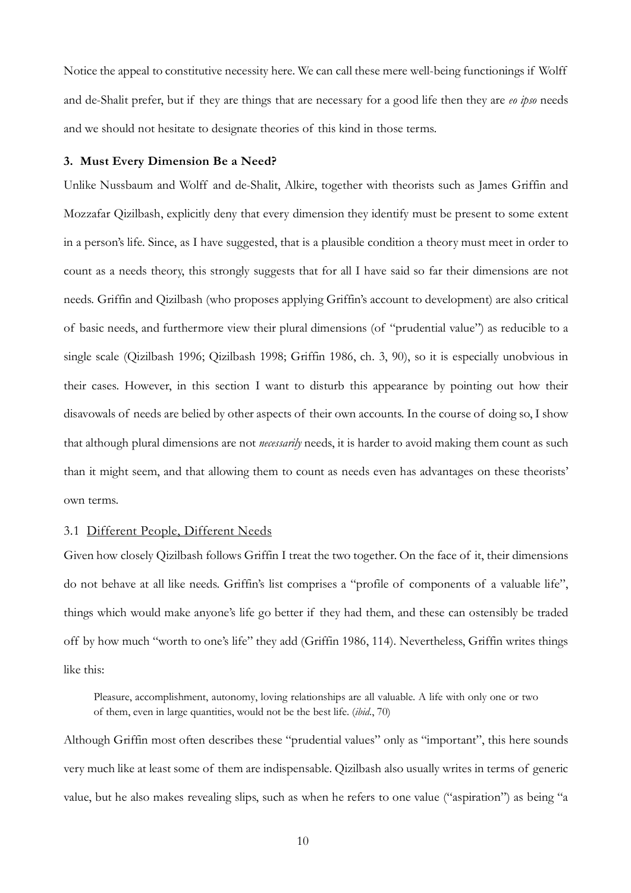Notice the appeal to constitutive necessity here. We can call these mere well-being functionings if Wolff and de-Shalit prefer, but if they are things that are necessary for a good life then they are *eo ipso* needs and we should not hesitate to designate theories of this kind in those terms.

#### **3. Must Every Dimension Be a Need?**

Unlike Nussbaum and Wolff and de-Shalit, Alkire, together with theorists such as James Griffin and Mozzafar Qizilbash, explicitly deny that every dimension they identify must be present to some extent in a person's life. Since, as I have suggested, that is a plausible condition a theory must meet in order to count as a needs theory, this strongly suggests that for all I have said so far their dimensions are not needs. Griffin and Qizilbash (who proposes applying Griffin's account to development) are also critical of basic needs, and furthermore view their plural dimensions (of "prudential value") as reducible to a single scale (Qizilbash 1996; Qizilbash 1998; Griffin 1986, ch. 3, 90), so it is especially unobvious in their cases. However, in this section I want to disturb this appearance by pointing out how their disavowals of needs are belied by other aspects of their own accounts. In the course of doing so, I show that although plural dimensions are not *necessarily* needs, it is harder to avoid making them count as such than it might seem, and that allowing them to count as needs even has advantages on these theorists' own terms.

## 3.1 Different People, Different Needs

Given how closely Qizilbash follows Griffin I treat the two together. On the face of it, their dimensions do not behave at all like needs. Griffin's list comprises a "profile of components of a valuable life", things which would make anyone's life go better if they had them, and these can ostensibly be traded off by how much "worth to one's life" they add (Griffin 1986, 114). Nevertheless, Griffin writes things like this:

Pleasure, accomplishment, autonomy, loving relationships are all valuable. A life with only one or two of them, even in large quantities, would not be the best life. (*ibid*., 70)

Although Griffin most often describes these "prudential values" only as "important", this here sounds very much like at least some of them are indispensable. Qizilbash also usually writes in terms of generic value, but he also makes revealing slips, such as when he refers to one value ("aspiration") as being "a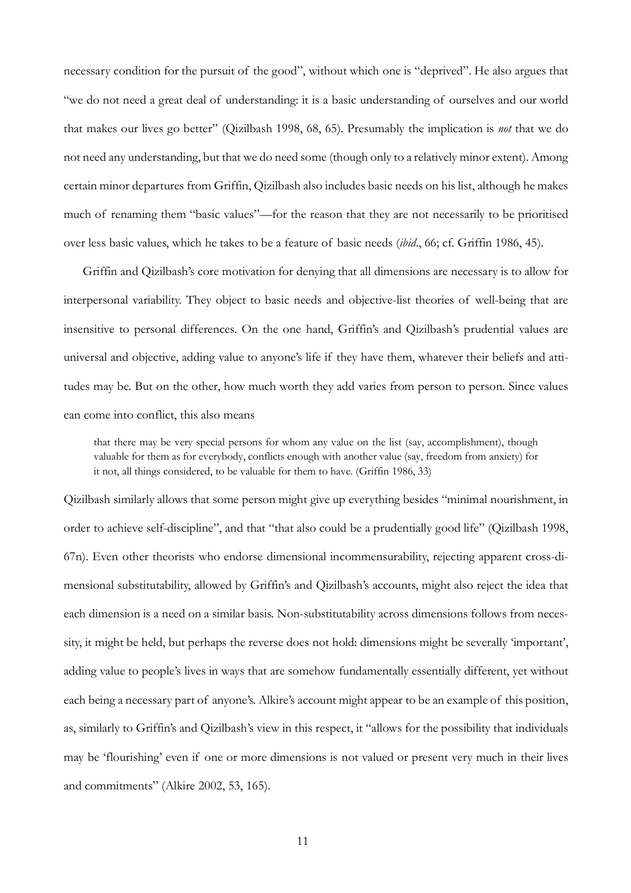necessary condition for the pursuit of the good", without which one is "deprived". He also argues that "we do not need a great deal of understanding: it is a basic understanding of ourselves and our world that makes our lives go better" (Qizilbash 1998, 68, 65). Presumably the implication is *not* that we do not need any understanding, but that we do need some (though only to a relatively minor extent). Among certain minor departures from Griffin, Qizilbash also includes basic needs on his list, although he makes much of renaming them "basic values"—for the reason that they are not necessarily to be prioritised over less basic values, which he takes to be a feature of basic needs (*ibid*., 66; cf. Griffin 1986, 45).

Griffin and Qizilbash's core motivation for denying that all dimensions are necessary is to allow for interpersonal variability. They object to basic needs and objective-list theories of well-being that are insensitive to personal differences. On the one hand, Griffin's and Qizilbash's prudential values are universal and objective, adding value to anyone's life if they have them, whatever their beliefs and attitudes may be. But on the other, how much worth they add varies from person to person. Since values can come into conflict, this also means

that there may be very special persons for whom any value on the list (say, accomplishment), though valuable for them as for everybody, conflicts enough with another value (say, freedom from anxiety) for it not, all things considered, to be valuable for them to have. (Griffin 1986, 33)

Qizilbash similarly allows that some person might give up everything besides "minimal nourishment, in order to achieve self-discipline", and that "that also could be a prudentially good life" (Qizilbash 1998, 67n). Even other theorists who endorse dimensional incommensurability, rejecting apparent cross-dimensional substitutability, allowed by Griffin's and Qizilbash's accounts, might also reject the idea that each dimension is a need on a similar basis. Non-substitutability across dimensions follows from necessity, it might be held, but perhaps the reverse does not hold: dimensions might be severally 'important', adding value to people's lives in ways that are somehow fundamentally essentially different, yet without each being a necessary part of anyone's. Alkire's account might appear to be an example of this position, as, similarly to Griffin's and Qizilbash's view in this respect, it "allows for the possibility that individuals may be 'flourishing' even if one or more dimensions is not valued or present very much in their lives and commitments" (Alkire 2002, 53, 165).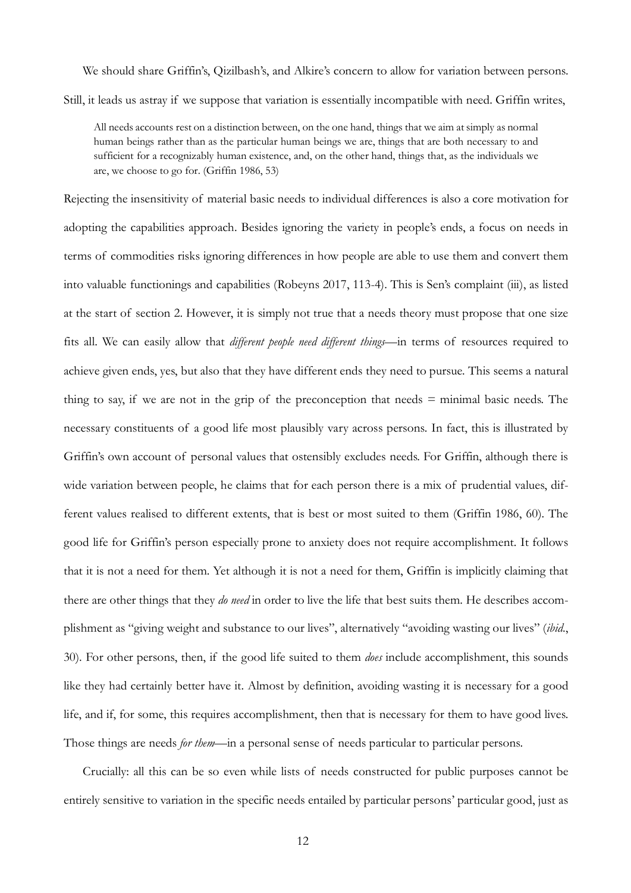We should share Griffin's, Qizilbash's, and Alkire's concern to allow for variation between persons. Still, it leads us astray if we suppose that variation is essentially incompatible with need. Griffin writes,

All needs accounts rest on a distinction between, on the one hand, things that we aim at simply as normal human beings rather than as the particular human beings we are, things that are both necessary to and sufficient for a recognizably human existence, and, on the other hand, things that, as the individuals we are, we choose to go for. (Griffin 1986, 53)

Rejecting the insensitivity of material basic needs to individual differences is also a core motivation for adopting the capabilities approach. Besides ignoring the variety in people's ends, a focus on needs in terms of commodities risks ignoring differences in how people are able to use them and convert them into valuable functionings and capabilities (Robeyns 2017, 113-4). This is Sen's complaint (iii), as listed at the start of section 2. However, it is simply not true that a needs theory must propose that one size fits all. We can easily allow that *different people need different things*—in terms of resources required to achieve given ends, yes, but also that they have different ends they need to pursue. This seems a natural thing to say, if we are not in the grip of the preconception that needs  $=$  minimal basic needs. The necessary constituents of a good life most plausibly vary across persons. In fact, this is illustrated by Griffin's own account of personal values that ostensibly excludes needs. For Griffin, although there is wide variation between people, he claims that for each person there is a mix of prudential values, different values realised to different extents, that is best or most suited to them (Griffin 1986, 60). The good life for Griffin's person especially prone to anxiety does not require accomplishment. It follows that it is not a need for them. Yet although it is not a need for them, Griffin is implicitly claiming that there are other things that they *do need* in order to live the life that best suits them. He describes accomplishment as "giving weight and substance to our lives", alternatively "avoiding wasting our lives" (*ibid*., 30). For other persons, then, if the good life suited to them *does* include accomplishment, this sounds like they had certainly better have it. Almost by definition, avoiding wasting it is necessary for a good life, and if, for some, this requires accomplishment, then that is necessary for them to have good lives. Those things are needs *for them*—in a personal sense of needs particular to particular persons.

Crucially: all this can be so even while lists of needs constructed for public purposes cannot be entirely sensitive to variation in the specific needs entailed by particular persons' particular good, just as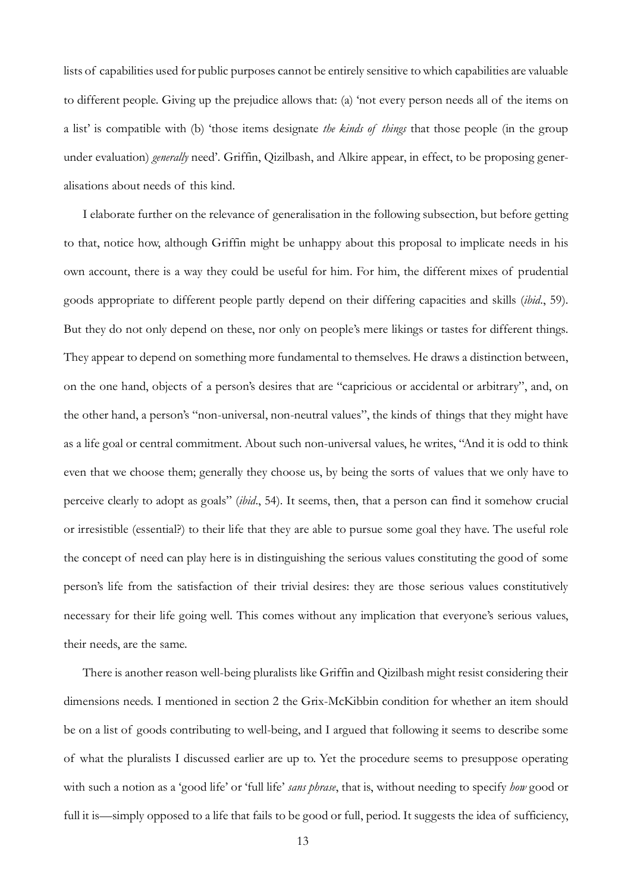lists of capabilities used for public purposes cannot be entirely sensitive to which capabilities are valuable to different people. Giving up the prejudice allows that: (a) 'not every person needs all of the items on a list' is compatible with (b) 'those items designate *the kinds of things* that those people (in the group under evaluation) *generally* need'. Griffin, Qizilbash, and Alkire appear, in effect, to be proposing generalisations about needs of this kind.

I elaborate further on the relevance of generalisation in the following subsection, but before getting to that, notice how, although Griffin might be unhappy about this proposal to implicate needs in his own account, there is a way they could be useful for him. For him, the different mixes of prudential goods appropriate to different people partly depend on their differing capacities and skills (*ibid*., 59). But they do not only depend on these, nor only on people's mere likings or tastes for different things. They appear to depend on something more fundamental to themselves. He draws a distinction between, on the one hand, objects of a person's desires that are "capricious or accidental or arbitrary", and, on the other hand, a person's "non-universal, non-neutral values", the kinds of things that they might have as a life goal or central commitment. About such non-universal values, he writes, "And it is odd to think even that we choose them; generally they choose us, by being the sorts of values that we only have to perceive clearly to adopt as goals" (*ibid*., 54). It seems, then, that a person can find it somehow crucial or irresistible (essential?) to their life that they are able to pursue some goal they have. The useful role the concept of need can play here is in distinguishing the serious values constituting the good of some person's life from the satisfaction of their trivial desires: they are those serious values constitutively necessary for their life going well. This comes without any implication that everyone's serious values, their needs, are the same.

There is another reason well-being pluralists like Griffin and Qizilbash might resist considering their dimensions needs. I mentioned in section 2 the Grix-McKibbin condition for whether an item should be on a list of goods contributing to well-being, and I argued that following it seems to describe some of what the pluralists I discussed earlier are up to. Yet the procedure seems to presuppose operating with such a notion as a 'good life' or 'full life' *sans phrase*, that is, without needing to specify *how* good or full it is—simply opposed to a life that fails to be good or full, period. It suggests the idea of sufficiency,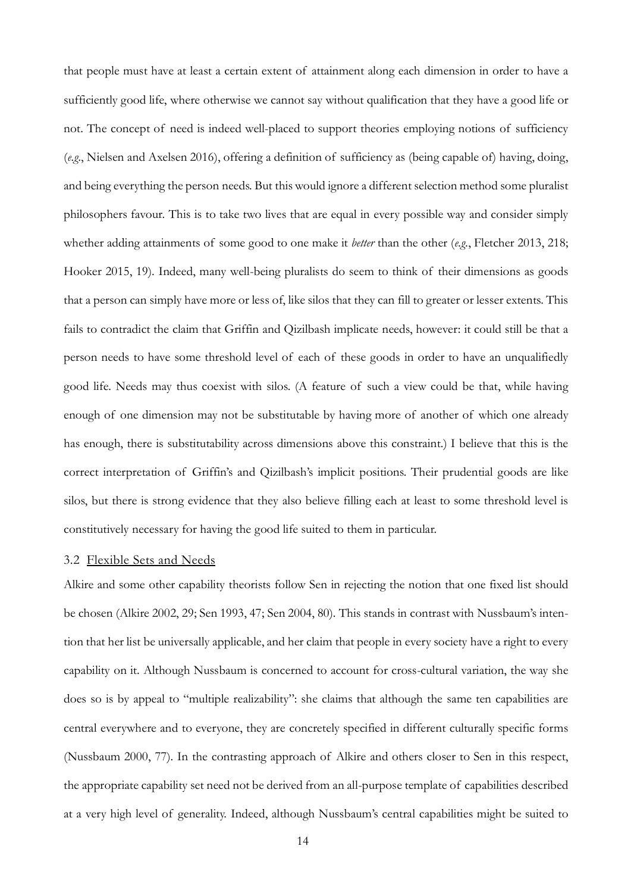that people must have at least a certain extent of attainment along each dimension in order to have a sufficiently good life, where otherwise we cannot say without qualification that they have a good life or not. The concept of need is indeed well-placed to support theories employing notions of sufficiency (*e.g.*, Nielsen and Axelsen 2016), offering a definition of sufficiency as (being capable of) having, doing, and being everything the person needs. But this would ignore a different selection method some pluralist philosophers favour. This is to take two lives that are equal in every possible way and consider simply whether adding attainments of some good to one make it *better* than the other (*e.g.*, Fletcher 2013, 218; Hooker 2015, 19). Indeed, many well-being pluralists do seem to think of their dimensions as goods that a person can simply have more or less of, like silos that they can fill to greater or lesser extents. This fails to contradict the claim that Griffin and Qizilbash implicate needs, however: it could still be that a person needs to have some threshold level of each of these goods in order to have an unqualifiedly good life. Needs may thus coexist with silos. (A feature of such a view could be that, while having enough of one dimension may not be substitutable by having more of another of which one already has enough, there is substitutability across dimensions above this constraint.) I believe that this is the correct interpretation of Griffin's and Qizilbash's implicit positions. Their prudential goods are like silos, but there is strong evidence that they also believe filling each at least to some threshold level is constitutively necessary for having the good life suited to them in particular.

#### 3.2 Flexible Sets and Needs

Alkire and some other capability theorists follow Sen in rejecting the notion that one fixed list should be chosen (Alkire 2002, 29; Sen 1993, 47; Sen 2004, 80). This stands in contrast with Nussbaum's intention that her list be universally applicable, and her claim that people in every society have a right to every capability on it. Although Nussbaum is concerned to account for cross-cultural variation, the way she does so is by appeal to "multiple realizability": she claims that although the same ten capabilities are central everywhere and to everyone, they are concretely specified in different culturally specific forms (Nussbaum 2000, 77). In the contrasting approach of Alkire and others closer to Sen in this respect, the appropriate capability set need not be derived from an all-purpose template of capabilities described at a very high level of generality. Indeed, although Nussbaum's central capabilities might be suited to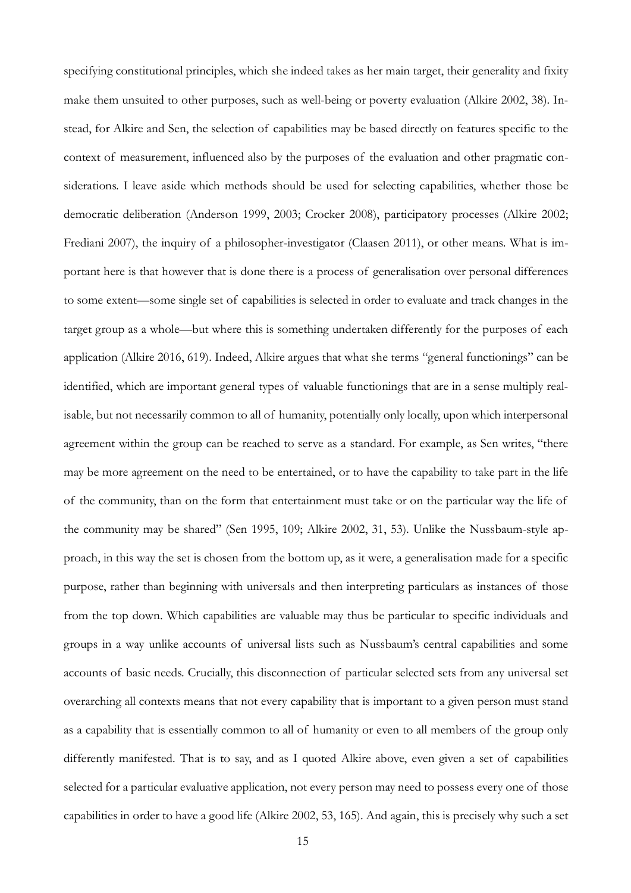specifying constitutional principles, which she indeed takes as her main target, their generality and fixity make them unsuited to other purposes, such as well-being or poverty evaluation (Alkire 2002, 38). Instead, for Alkire and Sen, the selection of capabilities may be based directly on features specific to the context of measurement, influenced also by the purposes of the evaluation and other pragmatic considerations. I leave aside which methods should be used for selecting capabilities, whether those be democratic deliberation (Anderson 1999, 2003; Crocker 2008), participatory processes (Alkire 2002; Frediani 2007), the inquiry of a philosopher-investigator (Claasen 2011), or other means. What is important here is that however that is done there is a process of generalisation over personal differences to some extent—some single set of capabilities is selected in order to evaluate and track changes in the target group as a whole—but where this is something undertaken differently for the purposes of each application (Alkire 2016, 619). Indeed, Alkire argues that what she terms "general functionings" can be identified, which are important general types of valuable functionings that are in a sense multiply realisable, but not necessarily common to all of humanity, potentially only locally, upon which interpersonal agreement within the group can be reached to serve as a standard. For example, as Sen writes, "there may be more agreement on the need to be entertained, or to have the capability to take part in the life of the community, than on the form that entertainment must take or on the particular way the life of the community may be shared" (Sen 1995, 109; Alkire 2002, 31, 53). Unlike the Nussbaum-style approach, in this way the set is chosen from the bottom up, as it were, a generalisation made for a specific purpose, rather than beginning with universals and then interpreting particulars as instances of those from the top down. Which capabilities are valuable may thus be particular to specific individuals and groups in a way unlike accounts of universal lists such as Nussbaum's central capabilities and some accounts of basic needs. Crucially, this disconnection of particular selected sets from any universal set overarching all contexts means that not every capability that is important to a given person must stand as a capability that is essentially common to all of humanity or even to all members of the group only differently manifested. That is to say, and as I quoted Alkire above, even given a set of capabilities selected for a particular evaluative application, not every person may need to possess every one of those capabilities in order to have a good life (Alkire 2002, 53, 165). And again, this is precisely why such a set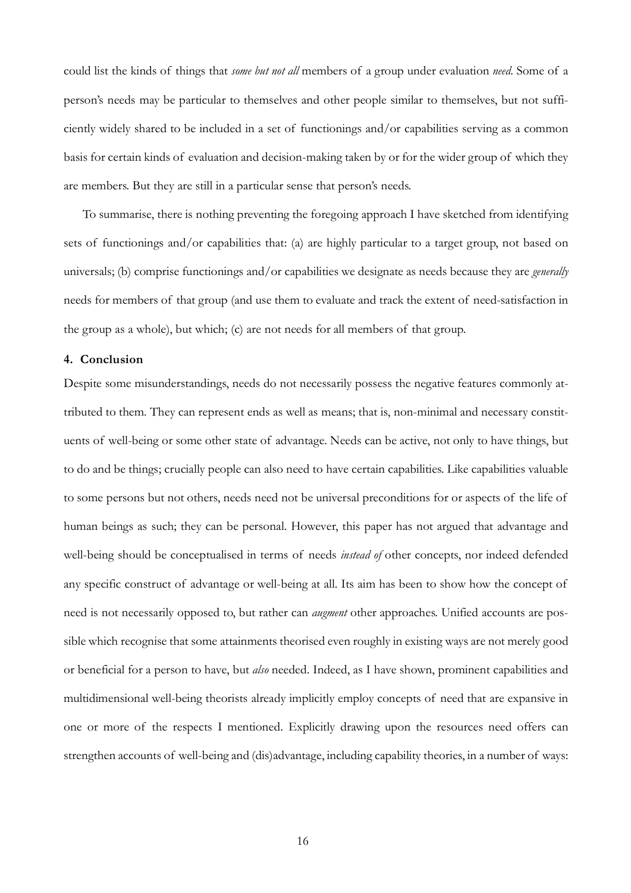could list the kinds of things that *some but not all* members of a group under evaluation *need*. Some of a person's needs may be particular to themselves and other people similar to themselves, but not sufficiently widely shared to be included in a set of functionings and/or capabilities serving as a common basis for certain kinds of evaluation and decision-making taken by or for the wider group of which they are members. But they are still in a particular sense that person's needs.

To summarise, there is nothing preventing the foregoing approach I have sketched from identifying sets of functionings and/or capabilities that: (a) are highly particular to a target group, not based on universals; (b) comprise functionings and/or capabilities we designate as needs because they are *generally* needs for members of that group (and use them to evaluate and track the extent of need-satisfaction in the group as a whole), but which; (c) are not needs for all members of that group.

## **4. Conclusion**

Despite some misunderstandings, needs do not necessarily possess the negative features commonly attributed to them. They can represent ends as well as means; that is, non-minimal and necessary constituents of well-being or some other state of advantage. Needs can be active, not only to have things, but to do and be things; crucially people can also need to have certain capabilities. Like capabilities valuable to some persons but not others, needs need not be universal preconditions for or aspects of the life of human beings as such; they can be personal. However, this paper has not argued that advantage and well-being should be conceptualised in terms of needs *instead of* other concepts, nor indeed defended any specific construct of advantage or well-being at all. Its aim has been to show how the concept of need is not necessarily opposed to, but rather can *augment* other approaches. Unified accounts are possible which recognise that some attainments theorised even roughly in existing ways are not merely good or beneficial for a person to have, but *also* needed. Indeed, as I have shown, prominent capabilities and multidimensional well-being theorists already implicitly employ concepts of need that are expansive in one or more of the respects I mentioned. Explicitly drawing upon the resources need offers can strengthen accounts of well-being and (dis)advantage, including capability theories, in a number of ways: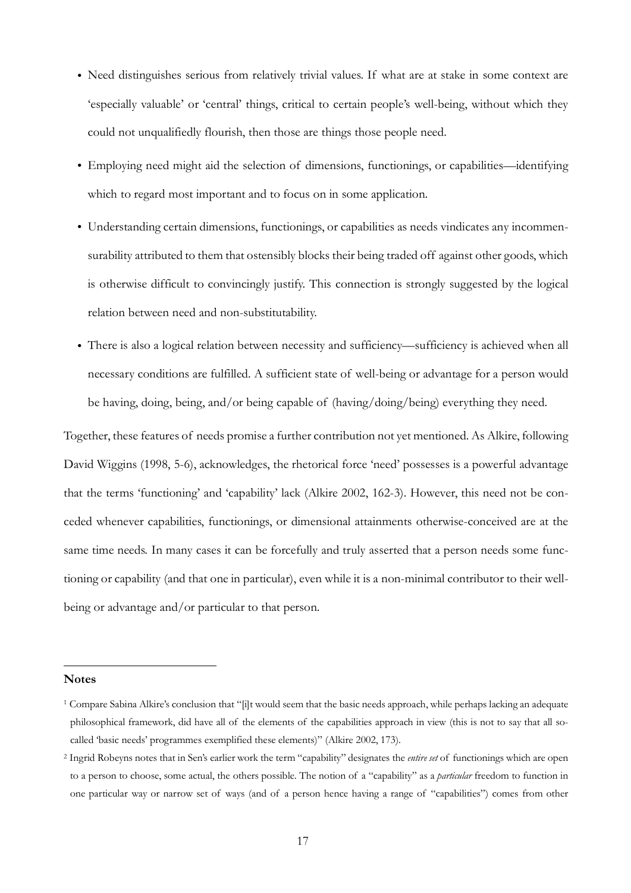- Need distinguishes serious from relatively trivial values. If what are at stake in some context are 'especially valuable' or 'central' things, critical to certain people's well-being, without which they could not unqualifiedly flourish, then those are things those people need.
- Employing need might aid the selection of dimensions, functionings, or capabilities––identifying which to regard most important and to focus on in some application.
- Understanding certain dimensions, functionings, or capabilities as needs vindicates any incommensurability attributed to them that ostensibly blocks their being traded off against other goods, which is otherwise difficult to convincingly justify. This connection is strongly suggested by the logical relation between need and non-substitutability.
- There is also a logical relation between necessity and sufficiency––sufficiency is achieved when all necessary conditions are fulfilled. A sufficient state of well-being or advantage for a person would be having, doing, being, and/or being capable of (having/doing/being) everything they need.

Together, these features of needs promise a further contribution not yet mentioned. As Alkire, following David Wiggins (1998, 5-6), acknowledges, the rhetorical force 'need' possesses is a powerful advantage that the terms 'functioning' and 'capability' lack (Alkire 2002, 162-3). However, this need not be conceded whenever capabilities, functionings, or dimensional attainments otherwise-conceived are at the same time needs. In many cases it can be forcefully and truly asserted that a person needs some functioning or capability (and that one in particular), even while it is a non-minimal contributor to their wellbeing or advantage and/or particular to that person.

**Notes**

<sup>1</sup> Compare Sabina Alkire's conclusion that "[i]t would seem that the basic needs approach, while perhaps lacking an adequate philosophical framework, did have all of the elements of the capabilities approach in view (this is not to say that all socalled 'basic needs' programmes exemplified these elements)" (Alkire 2002, 173).

<sup>2</sup> Ingrid Robeyns notes that in Sen's earlier work the term "capability" designates the *entire set* of functionings which are open to a person to choose, some actual, the others possible. The notion of a "capability" as a *particular* freedom to function in one particular way or narrow set of ways (and of a person hence having a range of "capabilities") comes from other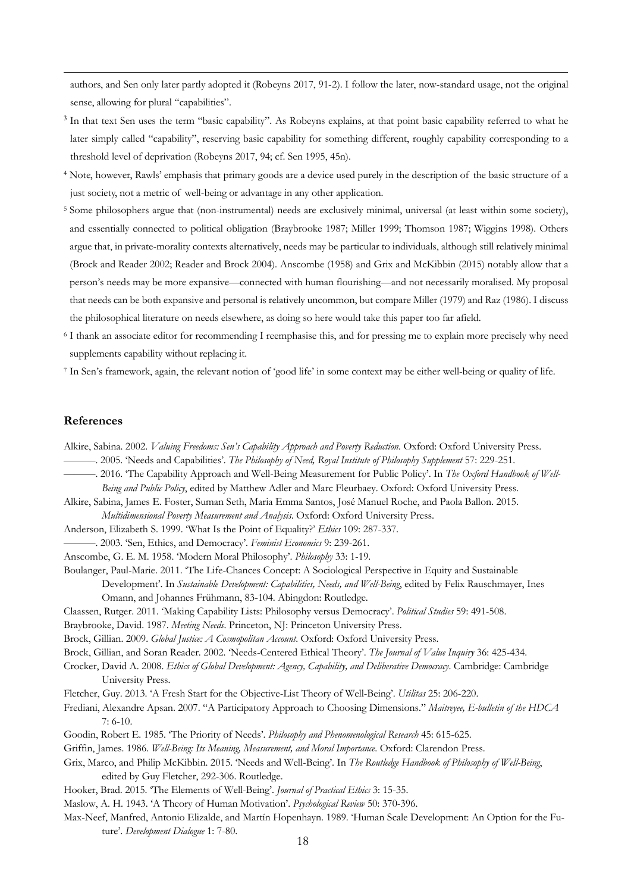authors, and Sen only later partly adopted it (Robeyns 2017, 91-2). I follow the later, now-standard usage, not the original sense, allowing for plural "capabilities".

- <sup>3</sup> In that text Sen uses the term "basic capability". As Robeyns explains, at that point basic capability referred to what he later simply called "capability", reserving basic capability for something different, roughly capability corresponding to a threshold level of deprivation (Robeyns 2017, 94; cf. Sen 1995, 45n).
- <sup>4</sup> Note, however, Rawls' emphasis that primary goods are a device used purely in the description of the basic structure of a just society, not a metric of well-being or advantage in any other application.
- <sup>5</sup> Some philosophers argue that (non-instrumental) needs are exclusively minimal, universal (at least within some society), and essentially connected to political obligation (Braybrooke 1987; Miller 1999; Thomson 1987; Wiggins 1998). Others argue that, in private-morality contexts alternatively, needs may be particular to individuals, although still relatively minimal (Brock and Reader 2002; Reader and Brock 2004). Anscombe (1958) and Grix and McKibbin (2015) notably allow that a person's needs may be more expansive—connected with human flourishing—and not necessarily moralised. My proposal that needs can be both expansive and personal is relatively uncommon, but compare Miller (1979) and Raz (1986). I discuss the philosophical literature on needs elsewhere, as doing so here would take this paper too far afield.
- <sup>6</sup> I thank an associate editor for recommending I reemphasise this, and for pressing me to explain more precisely why need supplements capability without replacing it.
- <sup>7</sup> In Sen's framework, again, the relevant notion of 'good life' in some context may be either well-being or quality of life.

#### **References**

- Alkire, Sabina. 2002. *Valuing Freedoms: Sen's Capability Approach and Poverty Reduction*. Oxford: Oxford University Press.
	- ———. 2005. 'Needs and Capabilities'. *The Philosophy of Need, Royal Institute of Philosophy Supplement* 57: 229-251.
- ———. 2016. 'The Capability Approach and Well-Being Measurement for Public Policy'. In *The Oxford Handbook of Well-Being and Public Policy*, edited by Matthew Adler and Marc Fleurbaey. Oxford: Oxford University Press.

Alkire, Sabina, James E. Foster, Suman Seth, Maria Emma Santos, José Manuel Roche, and Paola Ballon. 2015. *Multidimensional Poverty Measurement and Analysis*. Oxford: Oxford University Press.

- Anderson, Elizabeth S. 1999. 'What Is the Point of Equality?' *Ethics* 109: 287-337.
- ———. 2003. 'Sen, Ethics, and Democracy'. *Feminist Economics* 9: 239-261.
- Anscombe, G. E. M. 1958. 'Modern Moral Philosophy'. *Philosophy* 33: 1-19.
- Boulanger, Paul-Marie. 2011. 'The Life-Chances Concept: A Sociological Perspective in Equity and Sustainable
	- Development'. In *Sustainable Development: Capabilities, Needs, and Well-Being*, edited by Felix Rauschmayer, Ines Omann, and Johannes Frühmann, 83-104. Abingdon: Routledge.
- Claassen, Rutger. 2011. 'Making Capability Lists: Philosophy versus Democracy'. *Political Studies* 59: 491-508.
- Braybrooke, David. 1987. *Meeting Needs*. Princeton, NJ: Princeton University Press.
- Brock, Gillian. 2009. *Global Justice: A Cosmopolitan Account*. Oxford: Oxford University Press.
- Brock, Gillian, and Soran Reader. 2002. 'Needs-Centered Ethical Theory'. *The Journal of Value Inquiry* 36: 425-434.
- Crocker, David A. 2008. *Ethics of Global Development: Agency, Capability, and Deliberative Democracy*. Cambridge: Cambridge University Press.
- Fletcher, Guy. 2013. 'A Fresh Start for the Objective-List Theory of Well-Being'. *Utilitas* 25: 206-220.
- Frediani, Alexandre Apsan. 2007. "A Participatory Approach to Choosing Dimensions." *Maitreyee, E-bulletin of the HDCA* 7: 6-10.
- Goodin, Robert E. 1985. 'The Priority of Needs'. *Philosophy and Phenomenological Research* 45: 615-625.
- Griffin, James. 1986. *Well-Being: Its Meaning, Measurement, and Moral Importance*. Oxford: Clarendon Press.
- Grix, Marco, and Philip McKibbin. 2015. 'Needs and Well-Being'. In *The Routledge Handbook of Philosophy of Well-Being*, edited by Guy Fletcher, 292-306. Routledge.
- Hooker, Brad. 2015. 'The Elements of Well-Being'. *Journal of Practical Ethics* 3: 15-35.
- Maslow, A. H. 1943. 'A Theory of Human Motivation'. *Psychological Review* 50: 370-396.
- Max-Neef, Manfred, Antonio Elizalde, and Martín Hopenhayn. 1989. 'Human Scale Development: An Option for the Future'. *Development Dialogue* 1: 7-80.